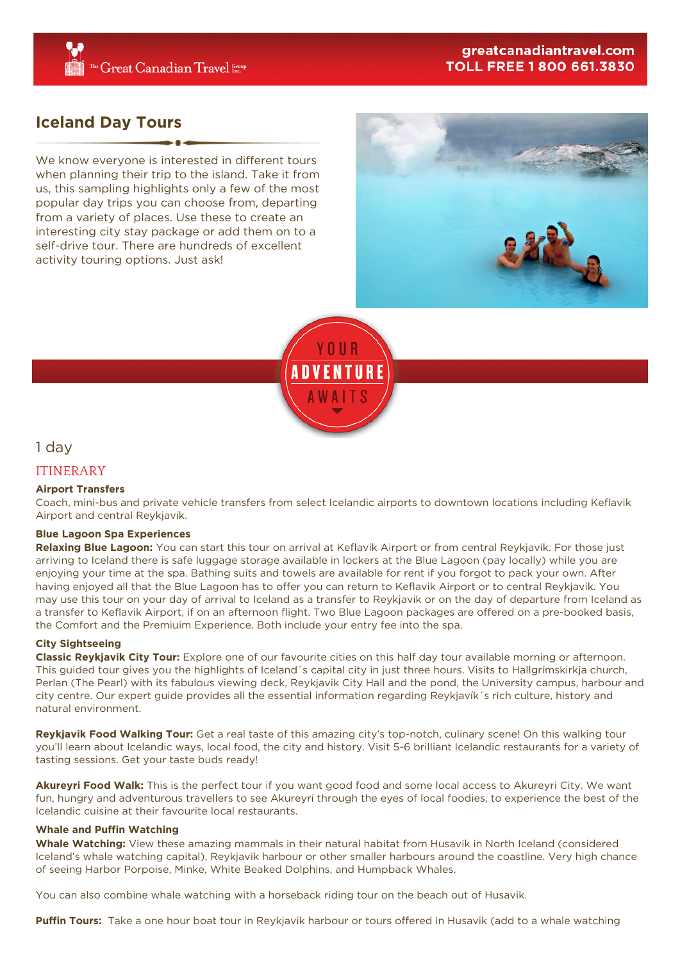## greatcanadiantravel.com **TOLL FREE 1 800 661.3830**

# **Iceland Day Tours**

We know everyone is interested in different tours when planning their trip to the island. Take it from us, this sampling highlights only a few of the most popular day trips you can choose from, departing from a variety of places. Use these to create an interesting city stay package or add them on to a self-drive tour. There are hundreds of excellent activity touring options. Just ask!





1 day

## ITINERARY

### **Airport Transfers**

Coach, mini-bus and private vehicle transfers from select Icelandic airports to downtown locations including Keflavik Airport and central Reykjavik.

#### **Blue Lagoon Spa Experiences**

**Relaxing Blue Lagoon:** You can start this tour on arrival at Keflavik Airport or from central Reykjavik. For those just arriving to Iceland there is safe luggage storage available in lockers at the Blue Lagoon (pay locally) while you are enjoying your time at the spa. Bathing suits and towels are available for rent if you forgot to pack your own. After having enjoyed all that the Blue Lagoon has to offer you can return to Keflavik Airport or to central Reykjavik. You may use this tour on your day of arrival to Iceland as a transfer to Reykjavik or on the day of departure from Iceland as a transfer to Keflavik Airport, if on an afternoon flight. Two Blue Lagoon packages are offered on a pre-booked basis, the Comfort and the Premiuim Experience. Both include your entry fee into the spa.

#### **City Sightseeing**

**Classic Reykjavik City Tour:** Explore one of our favourite cities on this half day tour available morning or afternoon. This guided tour gives you the highlights of Iceland´s capital city in just three hours. Visits to Hallgrímskirkja church, Perlan (The Pearl) with its fabulous viewing deck, Reykjavik City Hall and the pond, the University campus, harbour and city centre. Our expert guide provides all the essential information regarding Reykjavík´s rich culture, history and natural environment.

**Reykjavik Food Walking Tour:** Get a real taste of this amazing city's top-notch, culinary scene! On this walking tour you'll learn about Icelandic ways, local food, the city and history. Visit 5-6 brilliant Icelandic restaurants for a variety of tasting sessions. Get your taste buds ready!

**Akureyri Food Walk:** This is the perfect tour if you want good food and some local access to Akureyri City. We want fun, hungry and adventurous travellers to see Akureyri through the eyes of local foodies, to experience the best of the Icelandic cuisine at their favourite local restaurants.

#### **Whale and Puffin Watching**

**Whale Watching:** View these amazing mammals in their natural habitat from Husavik in North Iceland (considered Iceland's whale watching capital), Reykjavik harbour or other smaller harbours around the coastline. Very high chance of seeing Harbor Porpoise, Minke, White Beaked Dolphins, and Humpback Whales.

You can also combine whale watching with a horseback riding tour on the beach out of Husavik.

**Puffin Tours:** Take a one hour boat tour in Reykjavik harbour or tours offered in Husavik (add to a whale watching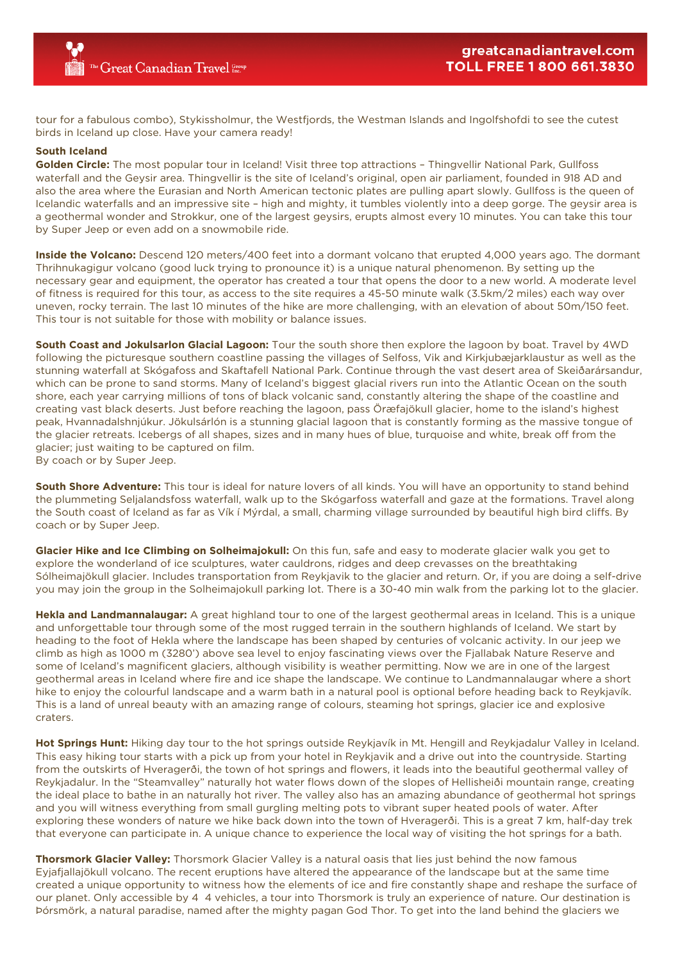tour for a fabulous combo), Stykissholmur, the Westfjords, the Westman Islands and Ingolfshofdi to see the cutest birds in Iceland up close. Have your camera ready!

#### **South Iceland**

**Golden Circle:** The most popular tour in Iceland! Visit three top attractions – Thingvellir National Park, Gullfoss waterfall and the Geysir area. Thingvellir is the site of Iceland's original, open air parliament, founded in 918 AD and also the area where the Eurasian and North American tectonic plates are pulling apart slowly. Gullfoss is the queen of Icelandic waterfalls and an impressive site – high and mighty, it tumbles violently into a deep gorge. The geysir area is a geothermal wonder and Strokkur, one of the largest geysirs, erupts almost every 10 minutes. You can take this tour by Super Jeep or even add on a snowmobile ride.

**Inside the Volcano:** Descend 120 meters/400 feet into a dormant volcano that erupted 4,000 years ago. The dormant Thrihnukagigur volcano (good luck trying to pronounce it) is a unique natural phenomenon. By setting up the necessary gear and equipment, the operator has created a tour that opens the door to a new world. A moderate level of fitness is required for this tour, as access to the site requires a 45-50 minute walk (3.5km/2 miles) each way over uneven, rocky terrain. The last 10 minutes of the hike are more challenging, with an elevation of about 50m/150 feet. This tour is not suitable for those with mobility or balance issues.

**South Coast and Jokulsarlon Glacial Lagoon:** Tour the south shore then explore the lagoon by boat. Travel by 4WD following the picturesque southern coastline passing the villages of Selfoss, Vik and Kirkjubæjarklaustur as well as the stunning waterfall at Skógafoss and Skaftafell National Park. Continue through the vast desert area of Skeiðarársandur, which can be prone to sand storms. Many of Iceland's biggest glacial rivers run into the Atlantic Ocean on the south shore, each year carrying millions of tons of black volcanic sand, constantly altering the shape of the coastline and creating vast black deserts. Just before reaching the lagoon, pass Öræfajökull glacier, home to the island's highest peak, Hvannadalshnjúkur. Jökulsárlón is a stunning glacial lagoon that is constantly forming as the massive tongue of the glacier retreats. Icebergs of all shapes, sizes and in many hues of blue, turquoise and white, break off from the glacier; just waiting to be captured on film.

By coach or by Super Jeep.

**South Shore Adventure:** This tour is ideal for nature lovers of all kinds. You will have an opportunity to stand behind the plummeting Seljalandsfoss waterfall, walk up to the Skógarfoss waterfall and gaze at the formations. Travel along the South coast of Iceland as far as Vík í Mýrdal, a small, charming village surrounded by beautiful high bird cliffs. By coach or by Super Jeep.

**Glacier Hike and Ice Climbing on Solheimajokull:** On this fun, safe and easy to moderate glacier walk you get to explore the wonderland of ice sculptures, water cauldrons, ridges and deep crevasses on the breathtaking Sólheimajökull glacier. Includes transportation from Reykjavik to the glacier and return. Or, if you are doing a self-drive you may join the group in the Solheimajokull parking lot. There is a 30-40 min walk from the parking lot to the glacier.

**Hekla and Landmannalaugar:** A great highland tour to one of the largest geothermal areas in Iceland. This is a unique and unforgettable tour through some of the most rugged terrain in the southern highlands of Iceland. We start by heading to the foot of Hekla where the landscape has been shaped by centuries of volcanic activity. In our jeep we climb as high as 1000 m (3280') above sea level to enjoy fascinating views over the Fjallabak Nature Reserve and some of Iceland's magnificent glaciers, although visibility is weather permitting. Now we are in one of the largest geothermal areas in Iceland where fire and ice shape the landscape. We continue to Landmannalaugar where a short hike to enjoy the colourful landscape and a warm bath in a natural pool is optional before heading back to Reykjavík. This is a land of unreal beauty with an amazing range of colours, steaming hot springs, glacier ice and explosive craters.

Hot Springs Hunt: Hiking day tour to the hot springs outside Reykjavík in Mt. Hengill and Reykjadalur Valley in Iceland. This easy hiking tour starts with a pick up from your hotel in Reykjavik and a drive out into the countryside. Starting from the outskirts of Hveragerði, the town of hot springs and flowers, it leads into the beautiful geothermal valley of Reykjadalur. In the "Steamvalley" naturally hot water flows down of the slopes of Hellisheiði mountain range, creating the ideal place to bathe in an naturally hot river. The valley also has an amazing abundance of geothermal hot springs and you will witness everything from small gurgling melting pots to vibrant super heated pools of water. After exploring these wonders of nature we hike back down into the town of Hveragerði. This is a great 7 km, half-day trek that everyone can participate in. A unique chance to experience the local way of visiting the hot springs for a bath.

**Thorsmork Glacier Valley:** Thorsmork Glacier Valley is a natural oasis that lies just behind the now famous Eyjafjallajökull volcano. The recent eruptions have altered the appearance of the landscape but at the same time created a unique opportunity to witness how the elements of ice and fire constantly shape and reshape the surface of our planet. Only accessible by 4×4 vehicles, a tour into Thorsmork is truly an experience of nature. Our destination is Þórsmörk, a natural paradise, named after the mighty pagan God Thor. To get into the land behind the glaciers we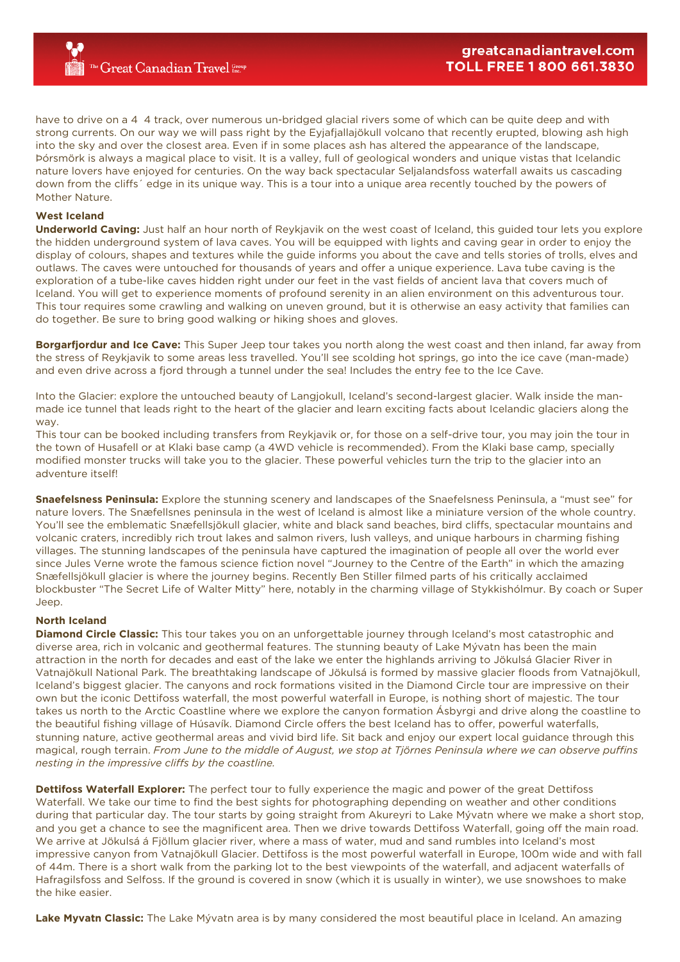have to drive on a 4–4 track, over numerous un-bridged glacial rivers some of which can be quite deep and with strong currents. On our way we will pass right by the Eyjafjallajökull volcano that recently erupted, blowing ash high into the sky and over the closest area. Even if in some places ash has altered the appearance of the landscape, Þórsmörk is always a magical place to visit. It is a valley, full of geological wonders and unique vistas that Icelandic nature lovers have enjoyed for centuries. On the way back spectacular Seljalandsfoss waterfall awaits us cascading down from the cliffs´ edge in its unique way. This is a tour into a unique area recently touched by the powers of Mother Nature.

#### **West Iceland**

**Underworld Caving:** Just half an hour north of Reykjavik on the west coast of Iceland, this guided tour lets you explore the hidden underground system of lava caves. You will be equipped with lights and caving gear in order to enjoy the display of colours, shapes and textures while the guide informs you about the cave and tells stories of trolls, elves and outlaws. The caves were untouched for thousands of years and offer a unique experience. Lava tube caving is the exploration of a tube-like caves hidden right under our feet in the vast fields of ancient lava that covers much of Iceland. You will get to experience moments of profound serenity in an alien environment on this adventurous tour. This tour requires some crawling and walking on uneven ground, but it is otherwise an easy activity that families can do together. Be sure to bring good walking or hiking shoes and gloves.

**Borgarfjordur and Ice Cave:** This Super Jeep tour takes you north along the west coast and then inland, far away from the stress of Reykjavik to some areas less travelled. You'll see scolding hot springs, go into the ice cave (man-made) and even drive across a fjord through a tunnel under the sea! Includes the entry fee to the Ice Cave.

Into the Glacier: explore the untouched beauty of Langjokull, Iceland's second-largest glacier. Walk inside the manmade ice tunnel that leads right to the heart of the glacier and learn exciting facts about Icelandic glaciers along the way.

This tour can be booked including transfers from Reykjavik or, for those on a self-drive tour, you may join the tour in the town of Husafell or at Klaki base camp (a 4WD vehicle is recommended). From the Klaki base camp, specially modified monster trucks will take you to the glacier. These powerful vehicles turn the trip to the glacier into an adventure itself!

**Snaefelsness Peninsula:** Explore the stunning scenery and landscapes of the Snaefelsness Peninsula, a "must see" for nature lovers. The Snæfellsnes peninsula in the west of Iceland is almost like a miniature version of the whole country. You'll see the emblematic Snæfellsjökull glacier, white and black sand beaches, bird cliffs, spectacular mountains and volcanic craters, incredibly rich trout lakes and salmon rivers, lush valleys, and unique harbours in charming fishing villages. The stunning landscapes of the peninsula have captured the imagination of people all over the world ever since Jules Verne wrote the famous science fiction novel "Journey to the Centre of the Earth" in which the amazing Snæfellsjökull glacier is where the journey begins. Recently Ben Stiller filmed parts of his critically acclaimed blockbuster "The Secret Life of Walter Mitty" here, notably in the charming village of Stykkishólmur. By coach or Super Jeep.

#### **North Iceland**

**Diamond Circle Classic:** This tour takes you on an unforgettable journey through Iceland's most catastrophic and diverse area, rich in volcanic and geothermal features. The stunning beauty of Lake Mývatn has been the main attraction in the north for decades and east of the lake we enter the highlands arriving to Jökulsá Glacier River in Vatnajökull National Park. The breathtaking landscape of Jökulsá is formed by massive glacier floods from Vatnajökull, Iceland's biggest glacier. The canyons and rock formations visited in the Diamond Circle tour are impressive on their own but the iconic Dettifoss waterfall, the most powerful waterfall in Europe, is nothing short of majestic. The tour takes us north to the Arctic Coastline where we explore the canyon formation Ásbyrgi and drive along the coastline to the beautiful fishing village of Húsavík. Diamond Circle offers the best Iceland has to offer, powerful waterfalls, stunning nature, active geothermal areas and vivid bird life. Sit back and enjoy our expert local guidance through this magical, rough terrain. *From June to the middle of August, we stop at Tjörnes Peninsula where we can observe puffins nesting in the impressive cliffs by the coastline.*

**Dettifoss Waterfall Explorer:** The perfect tour to fully experience the magic and power of the great Dettifoss Waterfall. We take our time to find the best sights for photographing depending on weather and other conditions during that particular day. The tour starts by going straight from Akureyri to Lake Mývatn where we make a short stop, and you get a chance to see the magnificent area. Then we drive towards Dettifoss Waterfall, going off the main road. We arrive at Jökulsá á Fjöllum glacier river, where a mass of water, mud and sand rumbles into Iceland's most impressive canyon from Vatnajökull Glacier. Dettifoss is the most powerful waterfall in Europe, 100m wide and with fall of 44m. There is a short walk from the parking lot to the best viewpoints of the waterfall, and adjacent waterfalls of Hafragilsfoss and Selfoss. If the ground is covered in snow (which it is usually in winter), we use snowshoes to make the hike easier.

**Lake Myvatn Classic:** The Lake Mývatn area is by many considered the most beautiful place in Iceland. An amazing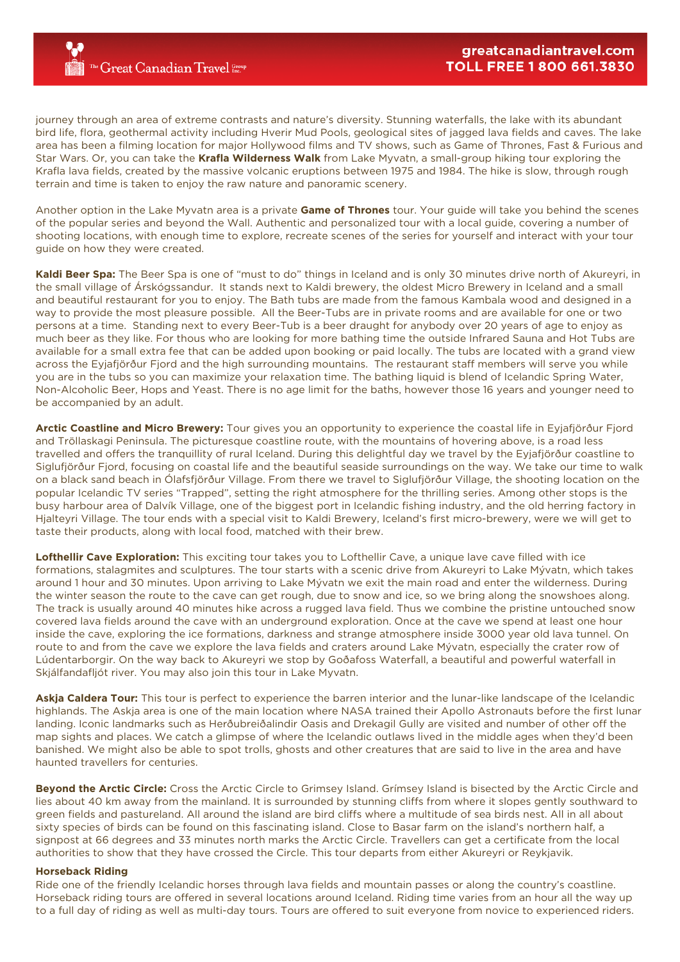The Great Canadian Travel Group

journey through an area of extreme contrasts and nature's diversity. Stunning waterfalls, the lake with its abundant bird life, flora, geothermal activity including Hverir Mud Pools, geological sites of jagged lava fields and caves. The lake area has been a filming location for major Hollywood films and TV shows, such as Game of Thrones, Fast & Furious and Star Wars. Or, you can take the **Krafla Wilderness Walk** from Lake Myvatn, a small-group hiking tour exploring the Krafla lava fields, created by the massive volcanic eruptions between 1975 and 1984. The hike is slow, through rough terrain and time is taken to enjoy the raw nature and panoramic scenery.

Another option in the Lake Myvatn area is a private **Game of Thrones** tour. Your guide will take you behind the scenes of the popular series and beyond the Wall. Authentic and personalized tour with a local guide, covering a number of shooting locations, with enough time to explore, recreate scenes of the series for yourself and interact with your tour guide on how they were created.

**Kaldi Beer Spa:** The Beer Spa is one of "must to do" things in Iceland and is only 30 minutes drive north of Akureyri, in the small village of Árskógssandur. It stands next to Kaldi brewery, the oldest Micro Brewery in Iceland and a small and beautiful restaurant for you to enjoy. The Bath tubs are made from the famous Kambala wood and designed in a way to provide the most pleasure possible. All the Beer-Tubs are in private rooms and are available for one or two persons at a time. Standing next to every Beer-Tub is a beer draught for anybody over 20 years of age to enjoy as much beer as they like. For thous who are looking for more bathing time the outside Infrared Sauna and Hot Tubs are available for a small extra fee that can be added upon booking or paid locally. The tubs are located with a grand view across the Eyjafjörður Fjord and the high surrounding mountains. The restaurant staff members will serve you while you are in the tubs so you can maximize your relaxation time. The bathing liquid is blend of Icelandic Spring Water, Non-Alcoholic Beer, Hops and Yeast. There is no age limit for the baths, however those 16 years and younger need to be accompanied by an adult.

**Arctic Coastline and Micro Brewery:** Tour gives you an opportunity to experience the coastal life in Eyjafjörður Fjord and Tröllaskagi Peninsula. The picturesque coastline route, with the mountains of hovering above, is a road less travelled and offers the tranquillity of rural Iceland. During this delightful day we travel by the Eyjafjörður coastline to Siglufjörður Fjord, focusing on coastal life and the beautiful seaside surroundings on the way. We take our time to walk on a black sand beach in Ólafsfjörður Village. From there we travel to Siglufjörður Village, the shooting location on the popular Icelandic TV series "Trapped", setting the right atmosphere for the thrilling series. Among other stops is the busy harbour area of Dalvík Village, one of the biggest port in Icelandic fishing industry, and the old herring factory in Hjalteyri Village. The tour ends with a special visit to Kaldi Brewery, Iceland's first micro-brewery, were we will get to taste their products, along with local food, matched with their brew.

**Lofthellir Cave Exploration:** This exciting tour takes you to Lofthellir Cave, a unique lave cave filled with ice formations, stalagmites and sculptures. The tour starts with a scenic drive from Akureyri to Lake Mývatn, which takes around 1 hour and 30 minutes. Upon arriving to Lake Mývatn we exit the main road and enter the wilderness. During the winter season the route to the cave can get rough, due to snow and ice, so we bring along the snowshoes along. The track is usually around 40 minutes hike across a rugged lava field. Thus we combine the pristine untouched snow covered lava fields around the cave with an underground exploration. Once at the cave we spend at least one hour inside the cave, exploring the ice formations, darkness and strange atmosphere inside 3000 year old lava tunnel. On route to and from the cave we explore the lava fields and craters around Lake Mývatn, especially the crater row of Lúdentarborgir. On the way back to Akureyri we stop by Goðafoss Waterfall, a beautiful and powerful waterfall in Skjálfandafljót river. You may also join this tour in Lake Myvatn.

**Askja Caldera Tour:** This tour is perfect to experience the barren interior and the lunar-like landscape of the Icelandic highlands. The Askja area is one of the main location where NASA trained their Apollo Astronauts before the first lunar landing. Iconic landmarks such as Herðubreiðalindir Oasis and Drekagil Gully are visited and number of other off the map sights and places. We catch a glimpse of where the Icelandic outlaws lived in the middle ages when they'd been banished. We might also be able to spot trolls, ghosts and other creatures that are said to live in the area and have haunted travellers for centuries.

**Beyond the Arctic Circle:** Cross the Arctic Circle to Grimsey Island. Grímsey Island is bisected by the Arctic Circle and lies about 40 km away from the mainland. It is surrounded by stunning cliffs from where it slopes gently southward to green fields and pastureland. All around the island are bird cliffs where a multitude of sea birds nest. All in all about sixty species of birds can be found on this fascinating island. Close to Basar farm on the island's northern half, a signpost at 66 degrees and 33 minutes north marks the Arctic Circle. Travellers can get a certificate from the local authorities to show that they have crossed the Circle. This tour departs from either Akureyri or Reykjavik.

#### **Horseback Riding**

Ride one of the friendly Icelandic horses through lava fields and mountain passes or along the country's coastline. Horseback riding tours are offered in several locations around Iceland. Riding time varies from an hour all the way up to a full day of riding as well as multi-day tours. Tours are offered to suit everyone from novice to experienced riders.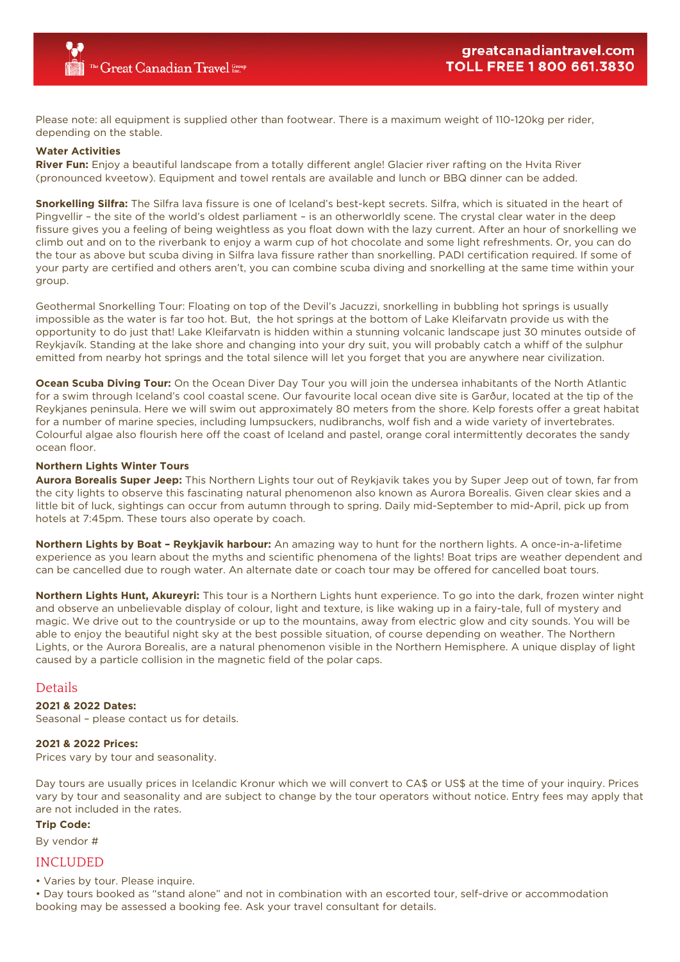Please note: all equipment is supplied other than footwear. There is a maximum weight of 110-120kg per rider, depending on the stable.

#### **Water Activities**

**River Fun:** Enjoy a beautiful landscape from a totally different angle! Glacier river rafting on the Hvita River (pronounced kveetow). Equipment and towel rentals are available and lunch or BBQ dinner can be added.

**Snorkelling Silfra:** The Silfra lava fissure is one of Iceland's best-kept secrets. Silfra, which is situated in the heart of Pingvellir – the site of the world's oldest parliament – is an otherworldly scene. The crystal clear water in the deep fissure gives you a feeling of being weightless as you float down with the lazy current. After an hour of snorkelling we climb out and on to the riverbank to enjoy a warm cup of hot chocolate and some light refreshments. Or, you can do the tour as above but scuba diving in Silfra lava fissure rather than snorkelling. PADI certification required. If some of your party are certified and others aren't, you can combine scuba diving and snorkelling at the same time within your group.

Geothermal Snorkelling Tour: Floating on top of the Devil's Jacuzzi, snorkelling in bubbling hot springs is usually impossible as the water is far too hot. But, the hot springs at the bottom of Lake Kleifarvatn provide us with the opportunity to do just that! Lake Kleifarvatn is hidden within a stunning volcanic landscape just 30 minutes outside of Reykjavík. Standing at the lake shore and changing into your dry suit, you will probably catch a whiff of the sulphur emitted from nearby hot springs and the total silence will let you forget that you are anywhere near civilization.

**Ocean Scuba Diving Tour:** On the Ocean Diver Day Tour you will join the undersea inhabitants of the North Atlantic for a swim through Iceland's cool coastal scene. Our favourite local ocean dive site is Garður, located at the tip of the Reykjanes peninsula. Here we will swim out approximately 80 meters from the shore. Kelp forests offer a great habitat for a number of marine species, including lumpsuckers, nudibranchs, wolf fish and a wide variety of invertebrates. Colourful algae also flourish here off the coast of Iceland and pastel, orange coral intermittently decorates the sandy ocean floor.

#### **Northern Lights Winter Tours**

**Aurora Borealis Super Jeep:** This Northern Lights tour out of Reykjavik takes you by Super Jeep out of town, far from the city lights to observe this fascinating natural phenomenon also known as Aurora Borealis. Given clear skies and a little bit of luck, sightings can occur from autumn through to spring. Daily mid-September to mid-April, pick up from hotels at 7:45pm. These tours also operate by coach.

**Northern Lights by Boat – Reykjavik harbour:** An amazing way to hunt for the northern lights. A once-in-a-lifetime experience as you learn about the myths and scientific phenomena of the lights! Boat trips are weather dependent and can be cancelled due to rough water. An alternate date or coach tour may be offered for cancelled boat tours.

**Northern Lights Hunt, Akureyri:** This tour is a Northern Lights hunt experience. To go into the dark, frozen winter night and observe an unbelievable display of colour, light and texture, is like waking up in a fairy-tale, full of mystery and magic. We drive out to the countryside or up to the mountains, away from electric glow and city sounds. You will be able to enjoy the beautiful night sky at the best possible situation, of course depending on weather. The Northern Lights, or the Aurora Borealis, are a natural phenomenon visible in the Northern Hemisphere. A unique display of light caused by a particle collision in the magnetic field of the polar caps.

## Details

**2021 & 2022 Dates:**

Seasonal – please contact us for details.

#### **2021 & 2022 Prices:**

Prices vary by tour and seasonality.

Day tours are usually prices in Icelandic Kronur which we will convert to CA\$ or US\$ at the time of your inquiry. Prices vary by tour and seasonality and are subject to change by the tour operators without notice. Entry fees may apply that are not included in the rates.

#### **Trip Code:**

By vendor #

### INCLUDED

• Varies by tour. Please inquire.

• Day tours booked as "stand alone" and not in combination with an escorted tour, self-drive or accommodation booking may be assessed a booking fee. Ask your travel consultant for details.